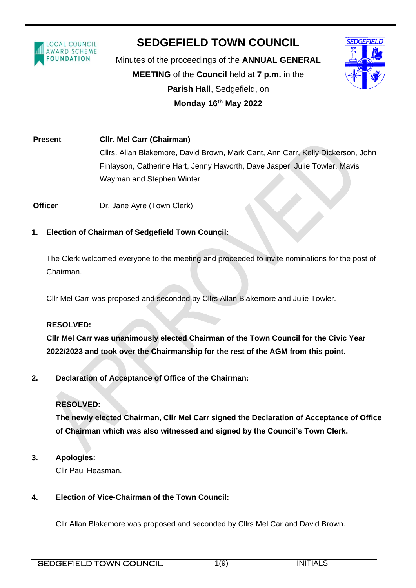

# **SEDGEFIELD TOWN COUNCIL**

ֺ֝֡

Minutes of the proceedings of the **ANNUAL GENERAL MEETING** of the **Council** held at **7 p.m.** in the **Parish Hall**, Sedgefield, on **Monday 16 th May 2022**



**Present Cllr. Mel Carr (Chairman)** Cllrs. Allan Blakemore, David Brown, Mark Cant, Ann Carr, Kelly Dickerson, John Finlayson, Catherine Hart, Jenny Haworth, Dave Jasper, Julie Towler, Mavis Wayman and Stephen Winter

**Officer Dr. Jane Ayre (Town Clerk)** 

# **1. Election of Chairman of Sedgefield Town Council:**

The Clerk welcomed everyone to the meeting and proceeded to invite nominations for the post of Chairman.

Cllr Mel Carr was proposed and seconded by Cllrs Allan Blakemore and Julie Towler.

#### **RESOLVED:**

**Cllr Mel Carr was unanimously elected Chairman of the Town Council for the Civic Year 2022/2023 and took over the Chairmanship for the rest of the AGM from this point.**

**2. Declaration of Acceptance of Office of the Chairman:**

# **RESOLVED:**

**The newly elected Chairman, Cllr Mel Carr signed the Declaration of Acceptance of Office of Chairman which was also witnessed and signed by the Council's Town Clerk.**

**3. Apologies:**

Cllr Paul Heasman.

# **4. Election of Vice-Chairman of the Town Council:**

Cllr Allan Blakemore was proposed and seconded by Cllrs Mel Car and David Brown.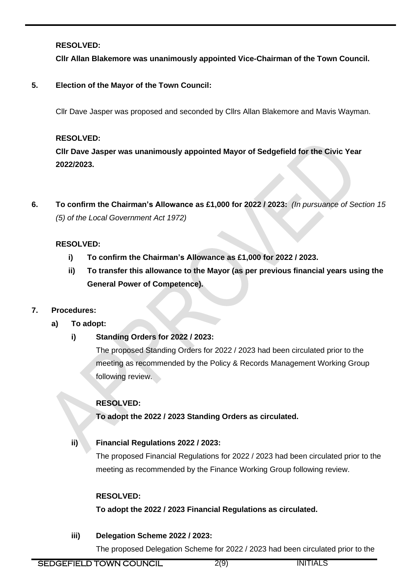## **RESOLVED:**

**Cllr Allan Blakemore was unanimously appointed Vice-Chairman of the Town Council.**

ֺ֝֡

# **5. Election of the Mayor of the Town Council:**

Cllr Dave Jasper was proposed and seconded by Cllrs Allan Blakemore and Mavis Wayman.

## **RESOLVED:**

**Cllr Dave Jasper was unanimously appointed Mayor of Sedgefield for the Civic Year 2022/2023.**

**6. To confirm the Chairman's Allowance as £1,000 for 2022 / 2023:** *(In pursuance of Section 15 (5) of the Local Government Act 1972)*

# **RESOLVED:**

- **i) To confirm the Chairman's Allowance as £1,000 for 2022 / 2023.**
- **ii) To transfer this allowance to the Mayor (as per previous financial years using the General Power of Competence).**

# **7. Procedures:**

- **a) To adopt:**
	- **i) Standing Orders for 2022 / 2023:**

The proposed Standing Orders for 2022 / 2023 had been circulated prior to the meeting as recommended by the Policy & Records Management Working Group following review.

# **RESOLVED:**

**To adopt the 2022 / 2023 Standing Orders as circulated.**

# **ii) Financial Regulations 2022 / 2023:**

The proposed Financial Regulations for 2022 / 2023 had been circulated prior to the meeting as recommended by the Finance Working Group following review.

# **RESOLVED:**

**To adopt the 2022 / 2023 Financial Regulations as circulated.**

**iii) Delegation Scheme 2022 / 2023:**

The proposed Delegation Scheme for 2022 / 2023 had been circulated prior to the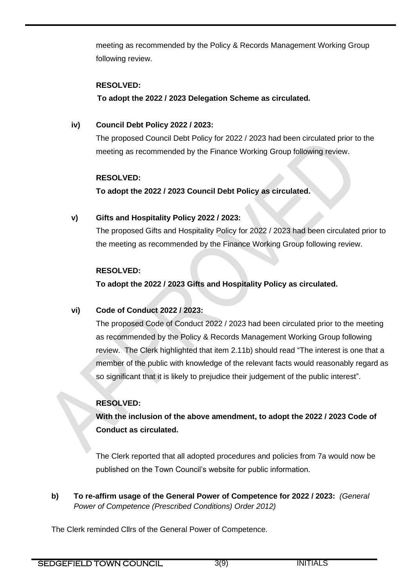meeting as recommended by the Policy & Records Management Working Group following review.

#### **RESOLVED:**

**To adopt the 2022 / 2023 Delegation Scheme as circulated.**

ֺ֝֡

# **iv) Council Debt Policy 2022 / 2023:**

The proposed Council Debt Policy for 2022 / 2023 had been circulated prior to the meeting as recommended by the Finance Working Group following review.

# **RESOLVED:**

**To adopt the 2022 / 2023 Council Debt Policy as circulated.**

# **v) Gifts and Hospitality Policy 2022 / 2023:**

The proposed Gifts and Hospitality Policy for 2022 / 2023 had been circulated prior to the meeting as recommended by the Finance Working Group following review.

# **RESOLVED:**

**To adopt the 2022 / 2023 Gifts and Hospitality Policy as circulated.**

# **vi) Code of Conduct 2022 / 2023:**

The proposed Code of Conduct 2022 / 2023 had been circulated prior to the meeting as recommended by the Policy & Records Management Working Group following review. The Clerk highlighted that item 2.11b) should read "The interest is one that a member of the public with knowledge of the relevant facts would reasonably regard as so significant that it is likely to prejudice their judgement of the public interest".

# **RESOLVED:**

**With the inclusion of the above amendment, to adopt the 2022 / 2023 Code of Conduct as circulated.**

The Clerk reported that all adopted procedures and policies from 7a would now be published on the Town Council's website for public information.

**b) To re-affirm usage of the General Power of Competence for 2022 / 2023:** *(General Power of Competence (Prescribed Conditions) Order 2012)*

The Clerk reminded Cllrs of the General Power of Competence.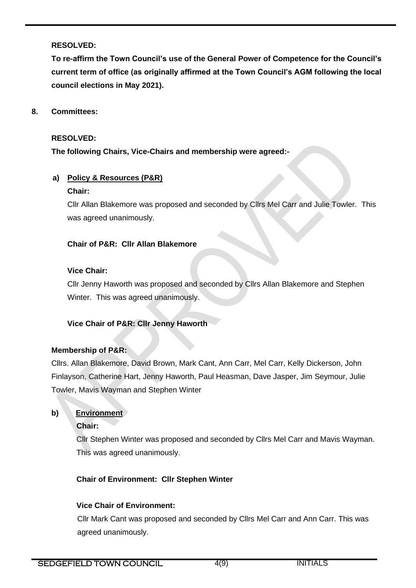#### **RESOLVED:**

**To re-affirm the Town Council's use of the General Power of Competence for the Council's current term of office (as originally affirmed at the Town Council's AGM following the local council elections in May 2021).**

ֺ֝֡

#### **8. Committees:**

#### **RESOLVED:**

**The following Chairs, Vice-Chairs and membership were agreed:-**

# **a) Policy & Resources (P&R)**

#### **Chair:**

Cllr Allan Blakemore was proposed and seconded by Cllrs Mel Carr and Julie Towler. This was agreed unanimously.

#### **Chair of P&R: Cllr Allan Blakemore**

#### **Vice Chair:**

Cllr Jenny Haworth was proposed and seconded by Cllrs Allan Blakemore and Stephen Winter. This was agreed unanimously.

#### **Vice Chair of P&R: Cllr Jenny Haworth**

#### **Membership of P&R:**

Cllrs. Allan Blakemore, David Brown, Mark Cant, Ann Carr, Mel Carr, Kelly Dickerson, John Finlayson, Catherine Hart, Jenny Haworth, Paul Heasman, Dave Jasper, Jim Seymour, Julie Towler, Mavis Wayman and Stephen Winter

#### **b) Environment**

#### **Chair:**

Cllr Stephen Winter was proposed and seconded by Cllrs Mel Carr and Mavis Wayman. This was agreed unanimously.

#### **Chair of Environment: Cllr Stephen Winter**

#### **Vice Chair of Environment:**

Cllr Mark Cant was proposed and seconded by Cllrs Mel Carr and Ann Carr. This was agreed unanimously.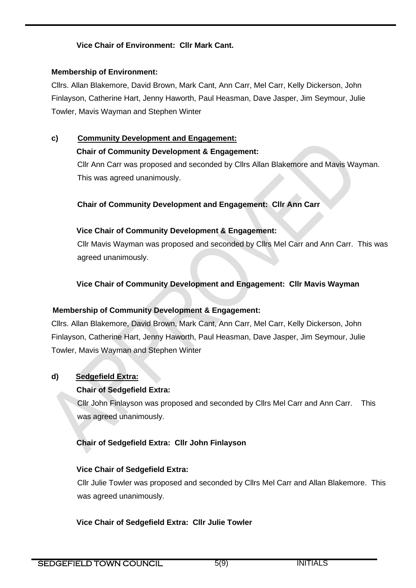## **Vice Chair of Environment: Cllr Mark Cant.**

#### **Membership of Environment:**

Cllrs. Allan Blakemore, David Brown, Mark Cant, Ann Carr, Mel Carr, Kelly Dickerson, John Finlayson, Catherine Hart, Jenny Haworth, Paul Heasman, Dave Jasper, Jim Seymour, Julie Towler, Mavis Wayman and Stephen Winter

ֺ֝֡

# **c) Community Development and Engagement:**

## **Chair of Community Development & Engagement:**

Cllr Ann Carr was proposed and seconded by Cllrs Allan Blakemore and Mavis Wayman. This was agreed unanimously.

# **Chair of Community Development and Engagement: Cllr Ann Carr**

## **Vice Chair of Community Development & Engagement:**

Cllr Mavis Wayman was proposed and seconded by Cllrs Mel Carr and Ann Carr. This was agreed unanimously.

# **Vice Chair of Community Development and Engagement: Cllr Mavis Wayman**

# **Membership of Community Development & Engagement:**

Cllrs. Allan Blakemore, David Brown, Mark Cant, Ann Carr, Mel Carr, Kelly Dickerson, John Finlayson, Catherine Hart, Jenny Haworth, Paul Heasman, Dave Jasper, Jim Seymour, Julie Towler, Mavis Wayman and Stephen Winter

# **d) Sedgefield Extra:**

# **Chair of Sedgefield Extra:**

Cllr John Finlayson was proposed and seconded by Cllrs Mel Carr and Ann Carr. This was agreed unanimously.

# **Chair of Sedgefield Extra: Cllr John Finlayson**

#### **Vice Chair of Sedgefield Extra:**

Cllr Julie Towler was proposed and seconded by Cllrs Mel Carr and Allan Blakemore. This was agreed unanimously.

# **Vice Chair of Sedgefield Extra: Cllr Julie Towler**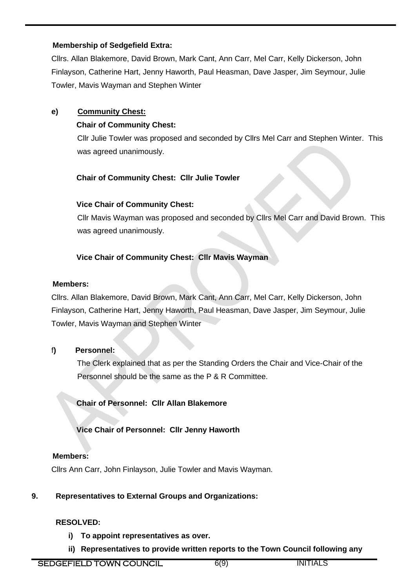#### **Membership of Sedgefield Extra:**

Cllrs. Allan Blakemore, David Brown, Mark Cant, Ann Carr, Mel Carr, Kelly Dickerson, John Finlayson, Catherine Hart, Jenny Haworth, Paul Heasman, Dave Jasper, Jim Seymour, Julie Towler, Mavis Wayman and Stephen Winter

ֺ֝֡

## **e) Community Chest:**

## **Chair of Community Chest:**

Cllr Julie Towler was proposed and seconded by Cllrs Mel Carr and Stephen Winter. This was agreed unanimously.

## **Chair of Community Chest: Cllr Julie Towler**

## **Vice Chair of Community Chest:**

Cllr Mavis Wayman was proposed and seconded by Cllrs Mel Carr and David Brown. This was agreed unanimously.

# **Vice Chair of Community Chest: Cllr Mavis Wayman**

#### **Members:**

Cllrs. Allan Blakemore, David Brown, Mark Cant, Ann Carr, Mel Carr, Kelly Dickerson, John Finlayson, Catherine Hart, Jenny Haworth, Paul Heasman, Dave Jasper, Jim Seymour, Julie Towler, Mavis Wayman and Stephen Winter

#### f**) Personnel:**

 The Clerk explained that as per the Standing Orders the Chair and Vice-Chair of the Personnel should be the same as the P & R Committee.

**Chair of Personnel: Cllr Allan Blakemore**

#### **Vice Chair of Personnel: Cllr Jenny Haworth**

#### **Members:**

Cllrs Ann Carr, John Finlayson, Julie Towler and Mavis Wayman.

#### **9. Representatives to External Groups and Organizations:**

#### **RESOLVED:**

- **i) To appoint representatives as over.**
- **ii) Representatives to provide written reports to the Town Council following any**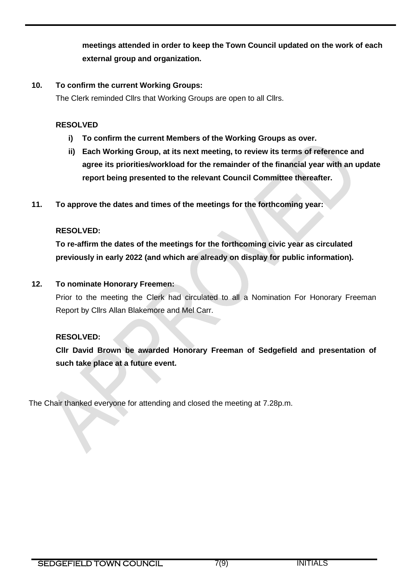**meetings attended in order to keep the Town Council updated on the work of each external group and organization.** 

ֺ֝֡

#### **10. To confirm the current Working Groups:**

The Clerk reminded Cllrs that Working Groups are open to all Cllrs.

#### **RESOLVED**

- **i) To confirm the current Members of the Working Groups as over.**
- **ii) Each Working Group, at its next meeting, to review its terms of reference and agree its priorities/workload for the remainder of the financial year with an update report being presented to the relevant Council Committee thereafter.**
- **11. To approve the dates and times of the meetings for the forthcoming year:**

#### **RESOLVED:**

**To re-affirm the dates of the meetings for the forthcoming civic year as circulated previously in early 2022 (and which are already on display for public information).** 

## **12. To nominate Honorary Freemen:**

Prior to the meeting the Clerk had circulated to all a Nomination For Honorary Freeman Report by Cllrs Allan Blakemore and Mel Carr.

#### **RESOLVED:**

**Cllr David Brown be awarded Honorary Freeman of Sedgefield and presentation of such take place at a future event.** 

The Chair thanked everyone for attending and closed the meeting at 7.28p.m.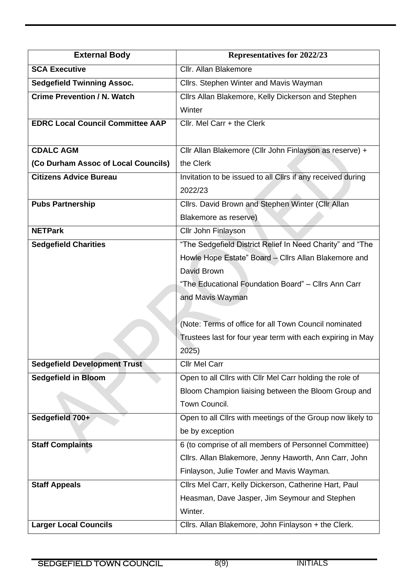| <b>External Body</b>                    | Representatives for 2022/23                                 |
|-----------------------------------------|-------------------------------------------------------------|
| <b>SCA Executive</b>                    | Cllr. Allan Blakemore                                       |
| <b>Sedgefield Twinning Assoc.</b>       | Cllrs. Stephen Winter and Mavis Wayman                      |
| <b>Crime Prevention / N. Watch</b>      | Cllrs Allan Blakemore, Kelly Dickerson and Stephen          |
|                                         | Winter                                                      |
| <b>EDRC Local Council Committee AAP</b> | Cllr. Mel Carr + the Clerk                                  |
|                                         |                                                             |
| <b>CDALC AGM</b>                        | Cllr Allan Blakemore (Cllr John Finlayson as reserve) +     |
| (Co Durham Assoc of Local Councils)     | the Clerk                                                   |
| <b>Citizens Advice Bureau</b>           | Invitation to be issued to all Cllrs if any received during |
|                                         | 2022/23                                                     |
| <b>Pubs Partnership</b>                 | Cllrs. David Brown and Stephen Winter (Cllr Allan           |
|                                         | Blakemore as reserve)                                       |
| <b>NETPark</b>                          | Cllr John Finlayson                                         |
| <b>Sedgefield Charities</b>             | "The Sedgefield District Relief In Need Charity" and "The   |
|                                         | Howle Hope Estate" Board - Cllrs Allan Blakemore and        |
|                                         | David Brown                                                 |
|                                         | "The Educational Foundation Board" - Cllrs Ann Carr         |
|                                         | and Mavis Wayman                                            |
|                                         |                                                             |
|                                         | (Note: Terms of office for all Town Council nominated       |
|                                         | Trustees last for four year term with each expiring in May  |
|                                         | 2025)                                                       |
| <b>Sedgefield Development Trust</b>     | <b>Cllr Mel Carr</b>                                        |
| <b>Sedgefield in Bloom</b>              | Open to all Cllrs with Cllr Mel Carr holding the role of    |
|                                         | Bloom Champion liaising between the Bloom Group and         |
|                                         | Town Council.                                               |
| Sedgefield 700+                         | Open to all Cllrs with meetings of the Group now likely to  |
|                                         | be by exception                                             |
| <b>Staff Complaints</b>                 | 6 (to comprise of all members of Personnel Committee)       |
|                                         | Clirs. Allan Blakemore, Jenny Haworth, Ann Carr, John       |
|                                         | Finlayson, Julie Towler and Mavis Wayman.                   |
| <b>Staff Appeals</b>                    | Cllrs Mel Carr, Kelly Dickerson, Catherine Hart, Paul       |
|                                         | Heasman, Dave Jasper, Jim Seymour and Stephen               |
|                                         | Winter.                                                     |
| <b>Larger Local Councils</b>            | Cllrs. Allan Blakemore, John Finlayson + the Clerk.         |

ֺ֝֡